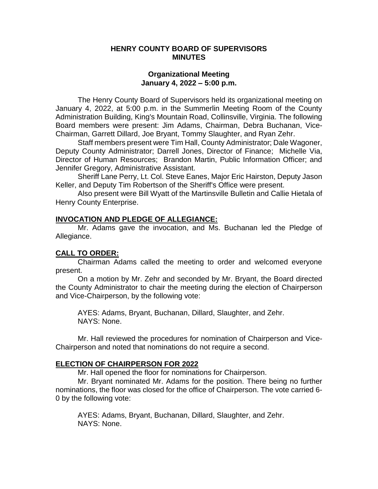#### **HENRY COUNTY BOARD OF SUPERVISORS MINUTES**

#### **Organizational Meeting January 4, 2022 – 5:00 p.m.**

The Henry County Board of Supervisors held its organizational meeting on January 4, 2022, at 5:00 p.m. in the Summerlin Meeting Room of the County Administration Building, King's Mountain Road, Collinsville, Virginia. The following Board members were present: Jim Adams, Chairman, Debra Buchanan, Vice-Chairman, Garrett Dillard, Joe Bryant, Tommy Slaughter, and Ryan Zehr.

Staff members present were Tim Hall, County Administrator; Dale Wagoner, Deputy County Administrator; Darrell Jones, Director of Finance; Michelle Via, Director of Human Resources; Brandon Martin, Public Information Officer; and Jennifer Gregory, Administrative Assistant.

Sheriff Lane Perry, Lt. Col. Steve Eanes, Major Eric Hairston, Deputy Jason Keller, and Deputy Tim Robertson of the Sheriff's Office were present.

Also present were Bill Wyatt of the Martinsville Bulletin and Callie Hietala of Henry County Enterprise.

### **INVOCATION AND PLEDGE OF ALLEGIANCE:**

Mr. Adams gave the invocation, and Ms. Buchanan led the Pledge of Allegiance.

#### **CALL TO ORDER:**

Chairman Adams called the meeting to order and welcomed everyone present.

On a motion by Mr. Zehr and seconded by Mr. Bryant, the Board directed the County Administrator to chair the meeting during the election of Chairperson and Vice-Chairperson, by the following vote:

AYES: Adams, Bryant, Buchanan, Dillard, Slaughter, and Zehr. NAYS: None.

Mr. Hall reviewed the procedures for nomination of Chairperson and Vice-Chairperson and noted that nominations do not require a second.

#### **ELECTION OF CHAIRPERSON FOR 2022**

Mr. Hall opened the floor for nominations for Chairperson.

Mr. Bryant nominated Mr. Adams for the position. There being no further nominations, the floor was closed for the office of Chairperson. The vote carried 6- 0 by the following vote:

AYES: Adams, Bryant, Buchanan, Dillard, Slaughter, and Zehr. NAYS: None.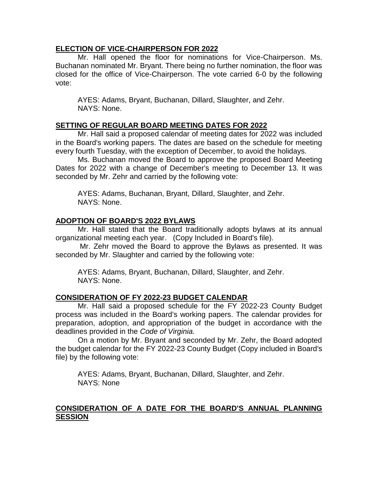### **ELECTION OF VICE-CHAIRPERSON FOR 2022**

Mr. Hall opened the floor for nominations for Vice-Chairperson. Ms. Buchanan nominated Mr. Bryant. There being no further nomination, the floor was closed for the office of Vice-Chairperson. The vote carried 6-0 by the following vote:

AYES: Adams, Bryant, Buchanan, Dillard, Slaughter, and Zehr. NAYS: None.

## **SETTING OF REGULAR BOARD MEETING DATES FOR 2022**

Mr. Hall said a proposed calendar of meeting dates for 2022 was included in the Board's working papers. The dates are based on the schedule for meeting every fourth Tuesday, with the exception of December, to avoid the holidays.

Ms. Buchanan moved the Board to approve the proposed Board Meeting Dates for 2022 with a change of December's meeting to December 13. It was seconded by Mr. Zehr and carried by the following vote:

AYES: Adams, Buchanan, Bryant, Dillard, Slaughter, and Zehr. NAYS: None.

## **ADOPTION OF BOARD'S 2022 BYLAWS**

Mr. Hall stated that the Board traditionally adopts bylaws at its annual organizational meeting each year. (Copy Included in Board's file).

Mr. Zehr moved the Board to approve the Bylaws as presented. It was seconded by Mr. Slaughter and carried by the following vote:

AYES: Adams, Bryant, Buchanan, Dillard, Slaughter, and Zehr. NAYS: None.

## **CONSIDERATION OF FY 2022-23 BUDGET CALENDAR**

Mr. Hall said a proposed schedule for the FY 2022-23 County Budget process was included in the Board's working papers. The calendar provides for preparation, adoption, and appropriation of the budget in accordance with the deadlines provided in the *Code of Virginia.*

On a motion by Mr. Bryant and seconded by Mr. Zehr, the Board adopted the budget calendar for the FY 2022-23 County Budget (Copy included in Board's file) by the following vote:

AYES: Adams, Bryant, Buchanan, Dillard, Slaughter, and Zehr. NAYS: None

# **CONSIDERATION OF A DATE FOR THE BOARD'S ANNUAL PLANNING SESSION**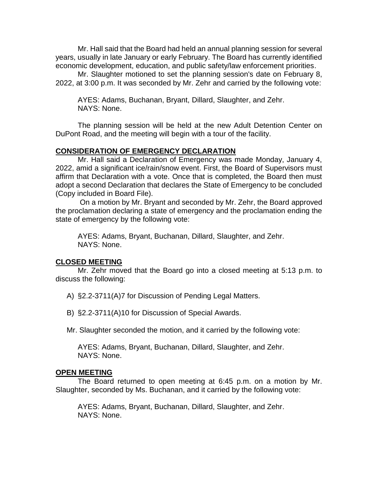Mr. Hall said that the Board had held an annual planning session for several years, usually in late January or early February. The Board has currently identified economic development, education, and public safety/law enforcement priorities.

Mr. Slaughter motioned to set the planning session's date on February 8, 2022, at 3:00 p.m. It was seconded by Mr. Zehr and carried by the following vote:

AYES: Adams, Buchanan, Bryant, Dillard, Slaughter, and Zehr. NAYS: None.

The planning session will be held at the new Adult Detention Center on DuPont Road, and the meeting will begin with a tour of the facility.

## **CONSIDERATION OF EMERGENCY DECLARATION**

Mr. Hall said a Declaration of Emergency was made Monday, January 4, 2022, amid a significant ice/rain/snow event. First, the Board of Supervisors must affirm that Declaration with a vote. Once that is completed, the Board then must adopt a second Declaration that declares the State of Emergency to be concluded (Copy included in Board File).

On a motion by Mr. Bryant and seconded by Mr. Zehr, the Board approved the proclamation declaring a state of emergency and the proclamation ending the state of emergency by the following vote:

AYES: Adams, Bryant, Buchanan, Dillard, Slaughter, and Zehr. NAYS: None.

## **CLOSED MEETING**

Mr. Zehr moved that the Board go into a closed meeting at 5:13 p.m. to discuss the following:

A) §2.2-3711(A)7 for Discussion of Pending Legal Matters.

B) §2.2-3711(A)10 for Discussion of Special Awards.

Mr. Slaughter seconded the motion, and it carried by the following vote:

AYES: Adams, Bryant, Buchanan, Dillard, Slaughter, and Zehr. NAYS: None.

## **OPEN MEETING**

The Board returned to open meeting at 6:45 p.m. on a motion by Mr. Slaughter, seconded by Ms. Buchanan, and it carried by the following vote:

AYES: Adams, Bryant, Buchanan, Dillard, Slaughter, and Zehr. NAYS: None.